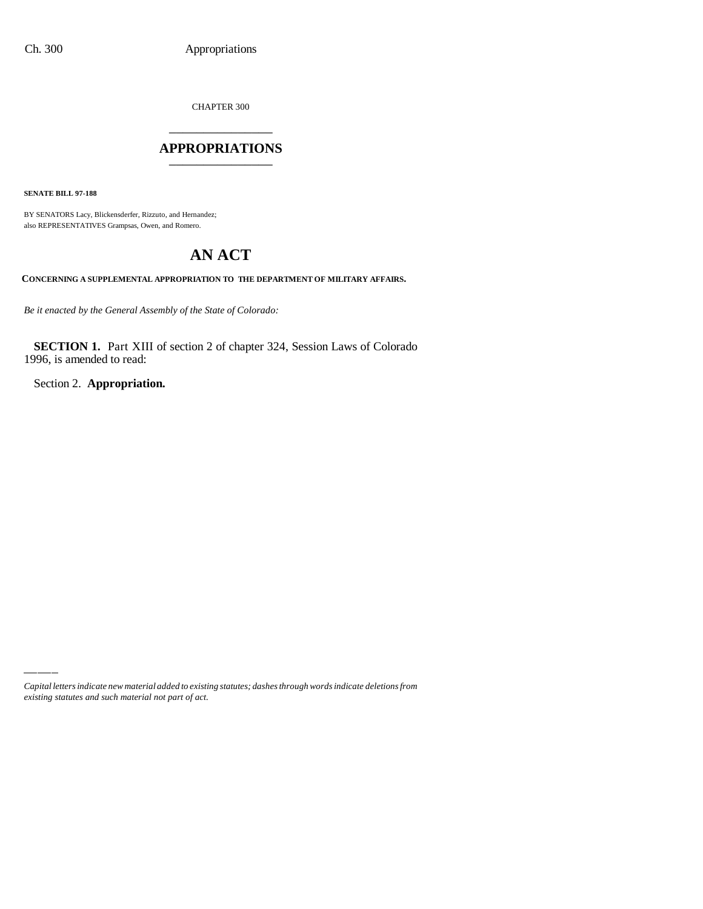CHAPTER 300

## \_\_\_\_\_\_\_\_\_\_\_\_\_\_\_ **APPROPRIATIONS** \_\_\_\_\_\_\_\_\_\_\_\_\_\_\_

**SENATE BILL 97-188**

BY SENATORS Lacy, Blickensderfer, Rizzuto, and Hernandez; also REPRESENTATIVES Grampsas, Owen, and Romero.

# **AN ACT**

**CONCERNING A SUPPLEMENTAL APPROPRIATION TO THE DEPARTMENT OF MILITARY AFFAIRS.**

*Be it enacted by the General Assembly of the State of Colorado:*

**SECTION 1.** Part XIII of section 2 of chapter 324, Session Laws of Colorado 1996, is amended to read:

Section 2. **Appropriation.**

*Capital letters indicate new material added to existing statutes; dashes through words indicate deletions from existing statutes and such material not part of act.*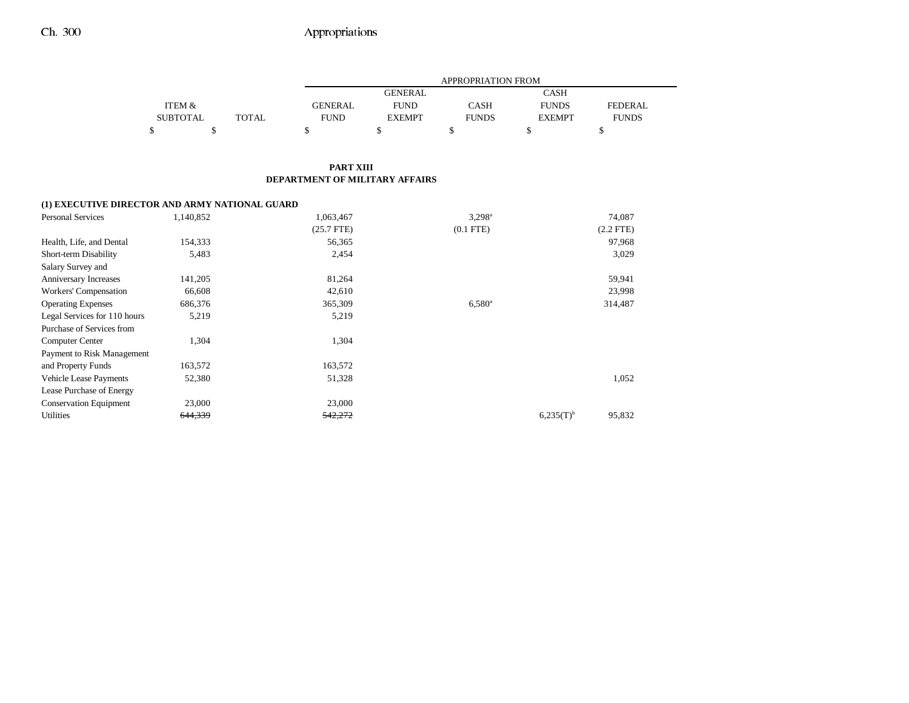### Ch. 300 Appropriations

|                 |       |                | <b>APPROPRIATION FROM</b>     |              |               |                |  |  |
|-----------------|-------|----------------|-------------------------------|--------------|---------------|----------------|--|--|
|                 |       |                | <b>GENERAL</b><br><b>CASH</b> |              |               |                |  |  |
| ITEM &          |       | <b>GENERAL</b> | <b>FUND</b>                   | <b>CASH</b>  | <b>FUNDS</b>  | <b>FEDERAL</b> |  |  |
| <b>SUBTOTAL</b> | TOTAL | <b>FUND</b>    | <b>EXEMPT</b>                 | <b>FUNDS</b> | <b>EXEMPT</b> | <b>FUNDS</b>   |  |  |
|                 |       |                |                               |              |               |                |  |  |

#### **PART XIII DEPARTMENT OF MILITARY AFFAIRS**

#### **(1) EXECUTIVE DIRECTOR AND ARMY NATIONAL GUARD**

| <b>Personal Services</b>      | 1,140,852 | 1,063,467    | $3,298^{\rm a}$      |                | 74,087      |
|-------------------------------|-----------|--------------|----------------------|----------------|-------------|
|                               |           | $(25.7$ FTE) | $(0.1$ FTE)          |                | $(2.2$ FTE) |
| Health, Life, and Dental      | 154,333   | 56,365       |                      |                | 97,968      |
| Short-term Disability         | 5,483     | 2,454        |                      |                | 3,029       |
| Salary Survey and             |           |              |                      |                |             |
| Anniversary Increases         | 141,205   | 81,264       |                      |                | 59,941      |
| Workers' Compensation         | 66,608    | 42,610       |                      |                | 23,998      |
| <b>Operating Expenses</b>     | 686,376   | 365,309      | $6.580$ <sup>a</sup> |                | 314,487     |
| Legal Services for 110 hours  | 5,219     | 5,219        |                      |                |             |
| Purchase of Services from     |           |              |                      |                |             |
| <b>Computer Center</b>        | 1,304     | 1,304        |                      |                |             |
| Payment to Risk Management    |           |              |                      |                |             |
| and Property Funds            | 163,572   | 163,572      |                      |                |             |
| <b>Vehicle Lease Payments</b> | 52,380    | 51,328       |                      |                | 1,052       |
| Lease Purchase of Energy      |           |              |                      |                |             |
| <b>Conservation Equipment</b> | 23,000    | 23,000       |                      |                |             |
| <b>Utilities</b>              | 644,339   | 542,272      |                      | $6,235(T)^{b}$ | 95,832      |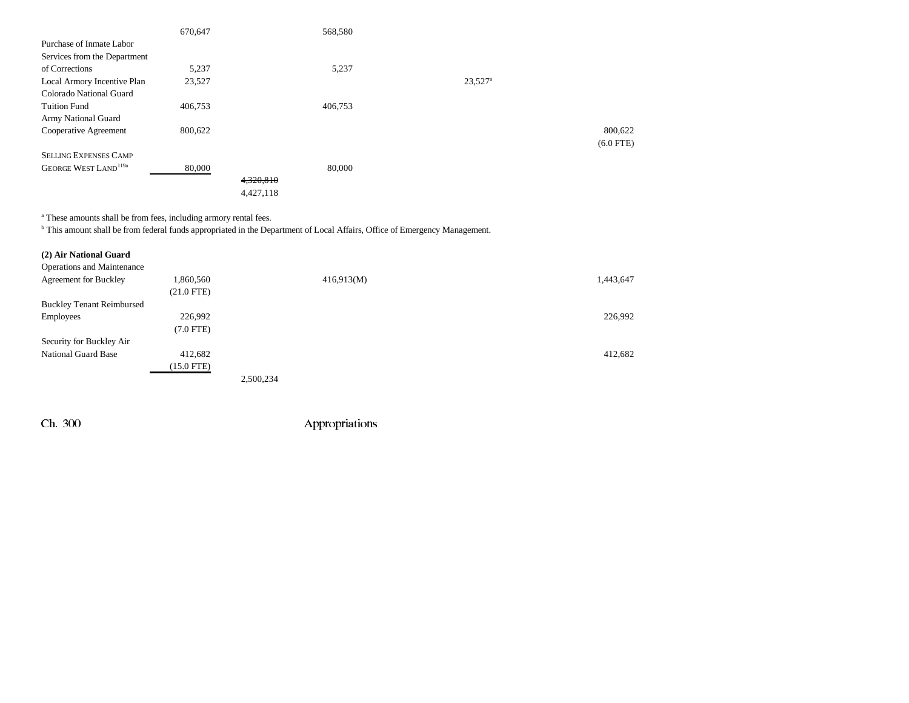|                                         | 670,647 |           | 568,580 |                       |             |
|-----------------------------------------|---------|-----------|---------|-----------------------|-------------|
| Purchase of Inmate Labor                |         |           |         |                       |             |
| Services from the Department            |         |           |         |                       |             |
| of Corrections                          | 5,237   |           | 5,237   |                       |             |
| Local Armory Incentive Plan             | 23,527  |           |         | $23,527$ <sup>a</sup> |             |
| Colorado National Guard                 |         |           |         |                       |             |
| <b>Tuition Fund</b>                     | 406,753 |           | 406,753 |                       |             |
| Army National Guard                     |         |           |         |                       |             |
| Cooperative Agreement                   | 800,622 |           |         |                       | 800,622     |
|                                         |         |           |         |                       | $(6.0$ FTE) |
| <b>SELLING EXPENSES CAMP</b>            |         |           |         |                       |             |
| <b>GEORGE WEST LAND</b> <sup>119a</sup> | 80,000  |           | 80,000  |                       |             |
|                                         |         | 4,320,810 |         |                       |             |
|                                         |         | 4,427,118 |         |                       |             |

a These amounts shall be from fees, including armory rental fees.

b This amount shall be from federal funds appropriated in the Department of Local Affairs, Office of Emergency Management.

| (2) Air National Guard            |              |           |            |           |
|-----------------------------------|--------------|-----------|------------|-----------|
| <b>Operations and Maintenance</b> |              |           |            |           |
| <b>Agreement for Buckley</b>      | 1,860,560    |           | 416,913(M) | 1,443,647 |
|                                   | $(21.0$ FTE) |           |            |           |
| <b>Buckley Tenant Reimbursed</b>  |              |           |            |           |
| Employees                         | 226,992      |           |            | 226,992   |
|                                   | $(7.0$ FTE)  |           |            |           |
| Security for Buckley Air          |              |           |            |           |
| <b>National Guard Base</b>        | 412,682      |           |            | 412,682   |
|                                   | (15.0 FTE)   |           |            |           |
|                                   |              | 2,500,234 |            |           |

Ch. 300 Appropriations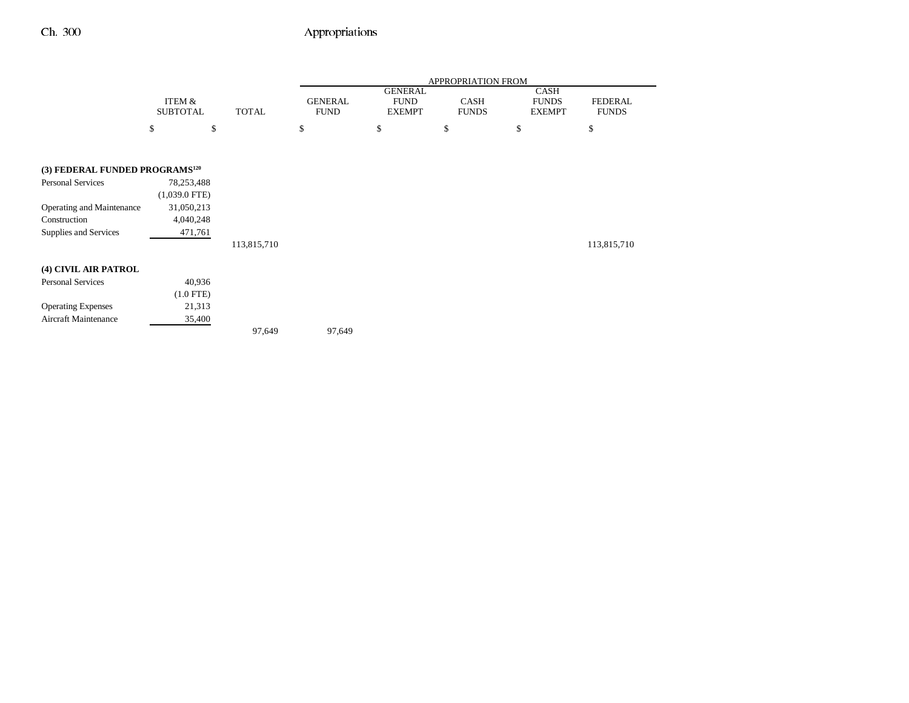# Ch. 300 Appropriations

|                                            |                           |              | APPROPRIATION FROM            |                                                |                             |                                       |                                |
|--------------------------------------------|---------------------------|--------------|-------------------------------|------------------------------------------------|-----------------------------|---------------------------------------|--------------------------------|
|                                            | ITEM &<br><b>SUBTOTAL</b> | <b>TOTAL</b> | <b>GENERAL</b><br><b>FUND</b> | <b>GENERAL</b><br><b>FUND</b><br><b>EXEMPT</b> | <b>CASH</b><br><b>FUNDS</b> | CASH<br><b>FUNDS</b><br><b>EXEMPT</b> | <b>FEDERAL</b><br><b>FUNDS</b> |
|                                            | \$<br>\$                  |              | \$                            | \$                                             | \$                          | \$                                    | \$                             |
|                                            |                           |              |                               |                                                |                             |                                       |                                |
| (3) FEDERAL FUNDED PROGRAMS <sup>120</sup> |                           |              |                               |                                                |                             |                                       |                                |
| Personal Services                          | 78,253,488                |              |                               |                                                |                             |                                       |                                |
|                                            | $(1,039.0$ FTE)           |              |                               |                                                |                             |                                       |                                |
| Operating and Maintenance                  | 31,050,213                |              |                               |                                                |                             |                                       |                                |
| Construction                               | 4,040,248                 |              |                               |                                                |                             |                                       |                                |
| Supplies and Services                      | 471,761                   |              |                               |                                                |                             |                                       |                                |
|                                            |                           | 113,815,710  |                               |                                                |                             |                                       | 113,815,710                    |
| (4) CIVIL AIR PATROL                       |                           |              |                               |                                                |                             |                                       |                                |
| Personal Services                          | 40,936                    |              |                               |                                                |                             |                                       |                                |
|                                            | $(1.0$ FTE)               |              |                               |                                                |                             |                                       |                                |
| <b>Operating Expenses</b>                  | 21,313                    |              |                               |                                                |                             |                                       |                                |
| Aircraft Maintenance                       | 35,400                    |              |                               |                                                |                             |                                       |                                |
|                                            |                           | 97,649       | 97,649                        |                                                |                             |                                       |                                |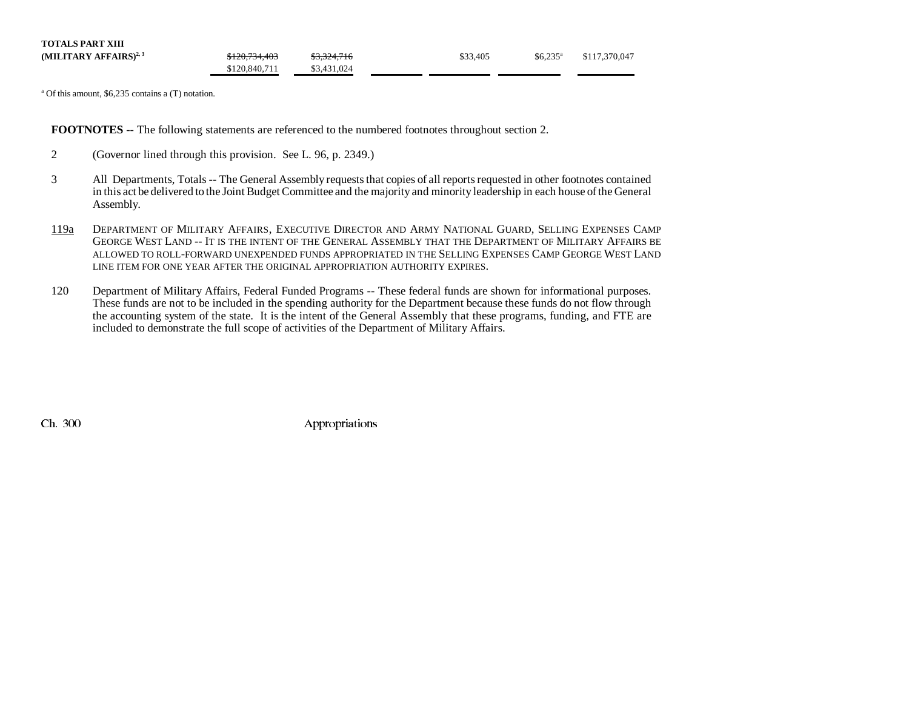| <b>TOTALS PART XIII</b>           |               |             |          |                       |               |
|-----------------------------------|---------------|-------------|----------|-----------------------|---------------|
| (MILITARY AFFAIRS) <sup>2,3</sup> | \$120,734,403 | \$3,324,716 | \$33,405 | $$6.235$ <sup>a</sup> | \$117,370,047 |
|                                   | \$120,840,711 | \$3,431,024 |          |                       |               |

a Of this amount, \$6,235 contains a (T) notation.

**FOOTNOTES** -- The following statements are referenced to the numbered footnotes throughout section 2.

- 2 (Governor lined through this provision. See L. 96, p. 2349.)
- 3 All Departments, Totals -- The General Assembly requests that copies of all reports requested in other footnotes contained in this act be delivered to the Joint Budget Committee and the majority and minority leadership in each house of the General Assembly.
- 119a DEPARTMENT OF MILITARY AFFAIRS, EXECUTIVE DIRECTOR AND ARMY NATIONAL GUARD, SELLING EXPENSES CAMP GEORGE WEST LAND -- IT IS THE INTENT OF THE GENERAL ASSEMBLY THAT THE DEPARTMENT OF MILITARY AFFAIRS BE allowed to roll-forward unexpended funds appropriated in the Selling Expenses Camp George West Land LINE ITEM FOR ONE YEAR AFTER THE ORIGINAL APPROPRIATION AUTHORITY EXPIRES.
- 120 Department of Military Affairs, Federal Funded Programs -- These federal funds are shown for informational purposes. These funds are not to be included in the spending authority for the Department because these funds do not flow through the accounting system of the state. It is the intent of the General Assembly that these programs, funding, and FTE are included to demonstrate the full scope of activities of the Department of Military Affairs.

Ch. 300 Appropriations